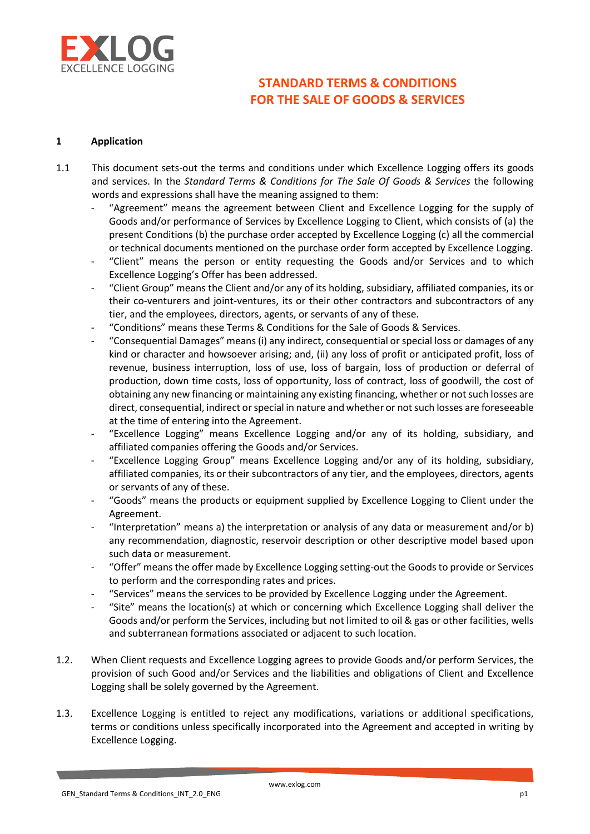

### 1 Application

- 1.1 This document sets-out the terms and conditions under which Excellence Logging offers its goods and services. In the Standard Terms & Conditions for The Sale Of Goods & Services the following words and expressions shall have the meaning assigned to them:
	- "Agreement" means the agreement between Client and Excellence Logging for the supply of Goods and/or performance of Services by Excellence Logging to Client, which consists of (a) the present Conditions (b) the purchase order accepted by Excellence Logging (c) all the commercial or technical documents mentioned on the purchase order form accepted by Excellence Logging.
	- "Client" means the person or entity requesting the Goods and/or Services and to which Excellence Logging's Offer has been addressed.
	- "Client Group" means the Client and/or any of its holding, subsidiary, affiliated companies, its or their co-venturers and joint-ventures, its or their other contractors and subcontractors of any tier, and the employees, directors, agents, or servants of any of these.
	- "Conditions" means these Terms & Conditions for the Sale of Goods & Services.
	- "Consequential Damages" means (i) any indirect, consequential or special loss or damages of any kind or character and howsoever arising; and, (ii) any loss of profit or anticipated profit, loss of revenue, business interruption, loss of use, loss of bargain, loss of production or deferral of production, down time costs, loss of opportunity, loss of contract, loss of goodwill, the cost of obtaining any new financing or maintaining any existing financing, whether or not such losses are direct, consequential, indirect or special in nature and whether or not such losses are foreseeable at the time of entering into the Agreement.
	- "Excellence Logging" means Excellence Logging and/or any of its holding, subsidiary, and affiliated companies offering the Goods and/or Services.
	- "Excellence Logging Group" means Excellence Logging and/or any of its holding, subsidiary, affiliated companies, its or their subcontractors of any tier, and the employees, directors, agents or servants of any of these.
	- "Goods" means the products or equipment supplied by Excellence Logging to Client under the Agreement.
	- "Interpretation" means a) the interpretation or analysis of any data or measurement and/or b) any recommendation, diagnostic, reservoir description or other descriptive model based upon such data or measurement.
	- "Offer" means the offer made by Excellence Logging setting-out the Goods to provide or Services to perform and the corresponding rates and prices.
	- "Services" means the services to be provided by Excellence Logging under the Agreement.
	- "Site" means the location(s) at which or concerning which Excellence Logging shall deliver the Goods and/or perform the Services, including but not limited to oil & gas or other facilities, wells and subterranean formations associated or adjacent to such location.
- 1.2. When Client requests and Excellence Logging agrees to provide Goods and/or perform Services, the provision of such Good and/or Services and the liabilities and obligations of Client and Excellence Logging shall be solely governed by the Agreement.
- 1.3. Excellence Logging is entitled to reject any modifications, variations or additional specifications, terms or conditions unless specifically incorporated into the Agreement and accepted in writing by Excellence Logging.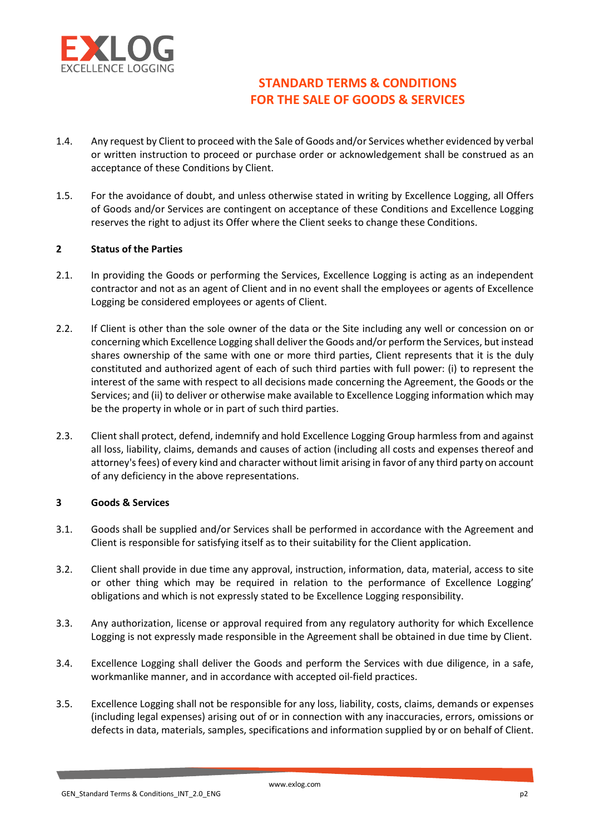

- 1.4. Any request by Client to proceed with the Sale of Goods and/or Services whether evidenced by verbal or written instruction to proceed or purchase order or acknowledgement shall be construed as an acceptance of these Conditions by Client.
- 1.5. For the avoidance of doubt, and unless otherwise stated in writing by Excellence Logging, all Offers of Goods and/or Services are contingent on acceptance of these Conditions and Excellence Logging reserves the right to adjust its Offer where the Client seeks to change these Conditions.

### 2 Status of the Parties

- 2.1. In providing the Goods or performing the Services, Excellence Logging is acting as an independent contractor and not as an agent of Client and in no event shall the employees or agents of Excellence Logging be considered employees or agents of Client.
- 2.2. If Client is other than the sole owner of the data or the Site including any well or concession on or concerning which Excellence Logging shall deliver the Goods and/or perform the Services, but instead shares ownership of the same with one or more third parties, Client represents that it is the duly constituted and authorized agent of each of such third parties with full power: (i) to represent the interest of the same with respect to all decisions made concerning the Agreement, the Goods or the Services; and (ii) to deliver or otherwise make available to Excellence Logging information which may be the property in whole or in part of such third parties.
- 2.3. Client shall protect, defend, indemnify and hold Excellence Logging Group harmless from and against all loss, liability, claims, demands and causes of action (including all costs and expenses thereof and attorney's fees) of every kind and character without limit arising in favor of any third party on account of any deficiency in the above representations.

### 3 Goods & Services

- 3.1. Goods shall be supplied and/or Services shall be performed in accordance with the Agreement and Client is responsible for satisfying itself as to their suitability for the Client application.
- 3.2. Client shall provide in due time any approval, instruction, information, data, material, access to site or other thing which may be required in relation to the performance of Excellence Logging' obligations and which is not expressly stated to be Excellence Logging responsibility.
- 3.3. Any authorization, license or approval required from any regulatory authority for which Excellence Logging is not expressly made responsible in the Agreement shall be obtained in due time by Client.
- 3.4. Excellence Logging shall deliver the Goods and perform the Services with due diligence, in a safe, workmanlike manner, and in accordance with accepted oil-field practices.
- 3.5. Excellence Logging shall not be responsible for any loss, liability, costs, claims, demands or expenses (including legal expenses) arising out of or in connection with any inaccuracies, errors, omissions or defects in data, materials, samples, specifications and information supplied by or on behalf of Client.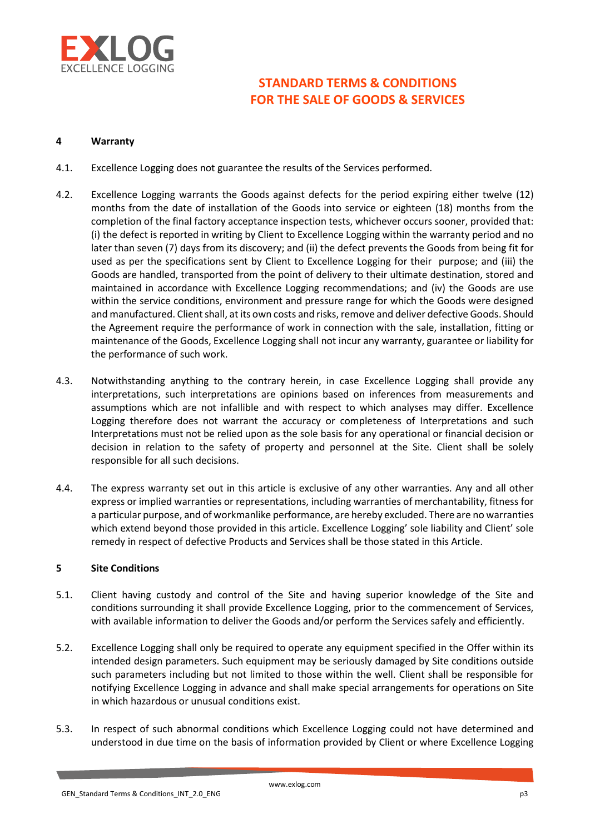

### 4 Warranty

- 4.1. Excellence Logging does not guarantee the results of the Services performed.
- 4.2. Excellence Logging warrants the Goods against defects for the period expiring either twelve (12) months from the date of installation of the Goods into service or eighteen (18) months from the completion of the final factory acceptance inspection tests, whichever occurs sooner, provided that: (i) the defect is reported in writing by Client to Excellence Logging within the warranty period and no later than seven (7) days from its discovery; and (ii) the defect prevents the Goods from being fit for used as per the specifications sent by Client to Excellence Logging for their purpose; and (iii) the Goods are handled, transported from the point of delivery to their ultimate destination, stored and maintained in accordance with Excellence Logging recommendations; and (iv) the Goods are use within the service conditions, environment and pressure range for which the Goods were designed and manufactured. Client shall, at its own costs and risks, remove and deliver defective Goods. Should the Agreement require the performance of work in connection with the sale, installation, fitting or maintenance of the Goods, Excellence Logging shall not incur any warranty, guarantee or liability for the performance of such work.
- 4.3. Notwithstanding anything to the contrary herein, in case Excellence Logging shall provide any interpretations, such interpretations are opinions based on inferences from measurements and assumptions which are not infallible and with respect to which analyses may differ. Excellence Logging therefore does not warrant the accuracy or completeness of Interpretations and such Interpretations must not be relied upon as the sole basis for any operational or financial decision or decision in relation to the safety of property and personnel at the Site. Client shall be solely responsible for all such decisions.
- 4.4. The express warranty set out in this article is exclusive of any other warranties. Any and all other express or implied warranties or representations, including warranties of merchantability, fitness for a particular purpose, and of workmanlike performance, are hereby excluded. There are no warranties which extend beyond those provided in this article. Excellence Logging' sole liability and Client' sole remedy in respect of defective Products and Services shall be those stated in this Article.

### 5 Site Conditions

- 5.1. Client having custody and control of the Site and having superior knowledge of the Site and conditions surrounding it shall provide Excellence Logging, prior to the commencement of Services, with available information to deliver the Goods and/or perform the Services safely and efficiently.
- 5.2. Excellence Logging shall only be required to operate any equipment specified in the Offer within its intended design parameters. Such equipment may be seriously damaged by Site conditions outside such parameters including but not limited to those within the well. Client shall be responsible for notifying Excellence Logging in advance and shall make special arrangements for operations on Site in which hazardous or unusual conditions exist.
- 5.3. In respect of such abnormal conditions which Excellence Logging could not have determined and understood in due time on the basis of information provided by Client or where Excellence Logging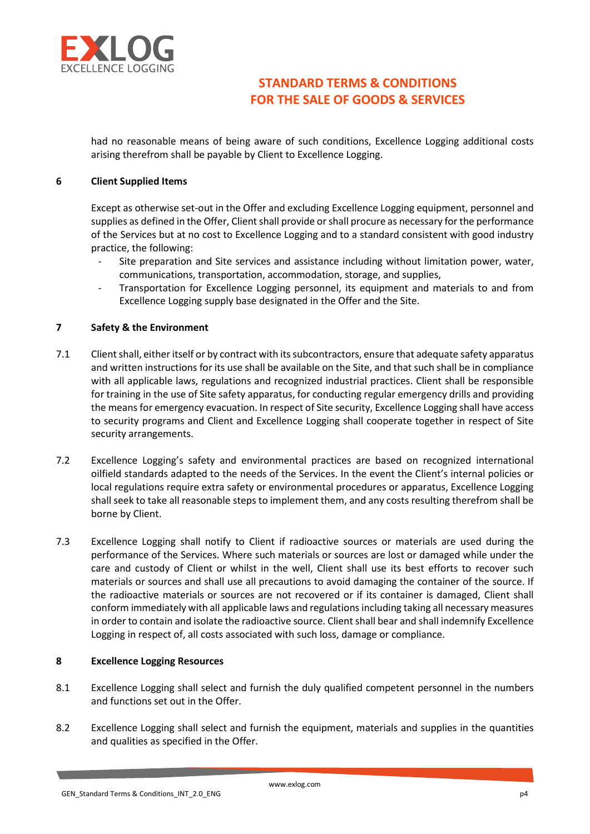

had no reasonable means of being aware of such conditions, Excellence Logging additional costs arising therefrom shall be payable by Client to Excellence Logging.

#### 6 Client Supplied Items

Except as otherwise set-out in the Offer and excluding Excellence Logging equipment, personnel and supplies as defined in the Offer, Client shall provide or shall procure as necessary for the performance of the Services but at no cost to Excellence Logging and to a standard consistent with good industry practice, the following:

- Site preparation and Site services and assistance including without limitation power, water, communications, transportation, accommodation, storage, and supplies,
- Transportation for Excellence Logging personnel, its equipment and materials to and from Excellence Logging supply base designated in the Offer and the Site.

#### 7 Safety & the Environment

- 7.1 Client shall, either itself or by contract with its subcontractors, ensure that adequate safety apparatus and written instructions for its use shall be available on the Site, and that such shall be in compliance with all applicable laws, regulations and recognized industrial practices. Client shall be responsible for training in the use of Site safety apparatus, for conducting regular emergency drills and providing the means for emergency evacuation. In respect of Site security, Excellence Logging shall have access to security programs and Client and Excellence Logging shall cooperate together in respect of Site security arrangements.
- 7.2 Excellence Logging's safety and environmental practices are based on recognized international oilfield standards adapted to the needs of the Services. In the event the Client's internal policies or local regulations require extra safety or environmental procedures or apparatus, Excellence Logging shall seek to take all reasonable steps to implement them, and any costs resulting therefrom shall be borne by Client.
- 7.3 Excellence Logging shall notify to Client if radioactive sources or materials are used during the performance of the Services. Where such materials or sources are lost or damaged while under the care and custody of Client or whilst in the well, Client shall use its best efforts to recover such materials or sources and shall use all precautions to avoid damaging the container of the source. If the radioactive materials or sources are not recovered or if its container is damaged, Client shall conform immediately with all applicable laws and regulations including taking all necessary measures in order to contain and isolate the radioactive source. Client shall bear and shall indemnify Excellence Logging in respect of, all costs associated with such loss, damage or compliance.

#### 8 Excellence Logging Resources

- 8.1 Excellence Logging shall select and furnish the duly qualified competent personnel in the numbers and functions set out in the Offer.
- 8.2 Excellence Logging shall select and furnish the equipment, materials and supplies in the quantities and qualities as specified in the Offer.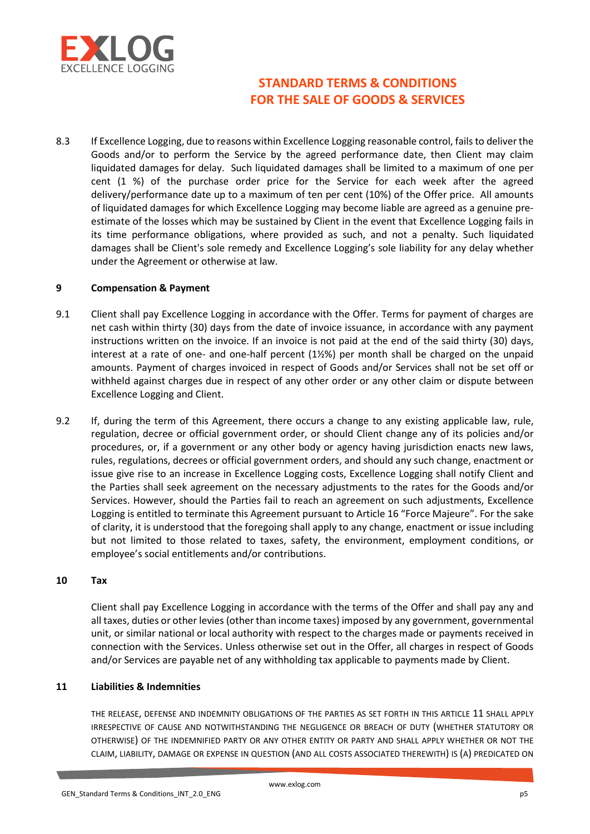

8.3 If Excellence Logging, due to reasons within Excellence Logging reasonable control, fails to deliver the Goods and/or to perform the Service by the agreed performance date, then Client may claim liquidated damages for delay. Such liquidated damages shall be limited to a maximum of one per cent (1 %) of the purchase order price for the Service for each week after the agreed delivery/performance date up to a maximum of ten per cent (10%) of the Offer price. All amounts of liquidated damages for which Excellence Logging may become liable are agreed as a genuine preestimate of the losses which may be sustained by Client in the event that Excellence Logging fails in its time performance obligations, where provided as such, and not a penalty. Such liquidated damages shall be Client's sole remedy and Excellence Logging's sole liability for any delay whether under the Agreement or otherwise at law.

#### 9 Compensation & Payment

- 9.1 Client shall pay Excellence Logging in accordance with the Offer. Terms for payment of charges are net cash within thirty (30) days from the date of invoice issuance, in accordance with any payment instructions written on the invoice. If an invoice is not paid at the end of the said thirty (30) days, interest at a rate of one- and one-half percent (1½%) per month shall be charged on the unpaid amounts. Payment of charges invoiced in respect of Goods and/or Services shall not be set off or withheld against charges due in respect of any other order or any other claim or dispute between Excellence Logging and Client.
- 9.2 If, during the term of this Agreement, there occurs a change to any existing applicable law, rule, regulation, decree or official government order, or should Client change any of its policies and/or procedures, or, if a government or any other body or agency having jurisdiction enacts new laws, rules, regulations, decrees or official government orders, and should any such change, enactment or issue give rise to an increase in Excellence Logging costs, Excellence Logging shall notify Client and the Parties shall seek agreement on the necessary adjustments to the rates for the Goods and/or Services. However, should the Parties fail to reach an agreement on such adjustments, Excellence Logging is entitled to terminate this Agreement pursuant to Article 16 "Force Majeure". For the sake of clarity, it is understood that the foregoing shall apply to any change, enactment or issue including but not limited to those related to taxes, safety, the environment, employment conditions, or employee's social entitlements and/or contributions.

### 10 Tax

Client shall pay Excellence Logging in accordance with the terms of the Offer and shall pay any and all taxes, duties or other levies (other than income taxes) imposed by any government, governmental unit, or similar national or local authority with respect to the charges made or payments received in connection with the Services. Unless otherwise set out in the Offer, all charges in respect of Goods and/or Services are payable net of any withholding tax applicable to payments made by Client.

#### 11 Liabilities & Indemnities

THE RELEASE, DEFENSE AND INDEMNITY OBLIGATIONS OF THE PARTIES AS SET FORTH IN THIS ARTICLE 11 SHALL APPLY IRRESPECTIVE OF CAUSE AND NOTWITHSTANDING THE NEGLIGENCE OR BREACH OF DUTY (WHETHER STATUTORY OR OTHERWISE) OF THE INDEMNIFIED PARTY OR ANY OTHER ENTITY OR PARTY AND SHALL APPLY WHETHER OR NOT THE CLAIM, LIABILITY, DAMAGE OR EXPENSE IN QUESTION (AND ALL COSTS ASSOCIATED THEREWITH) IS (A) PREDICATED ON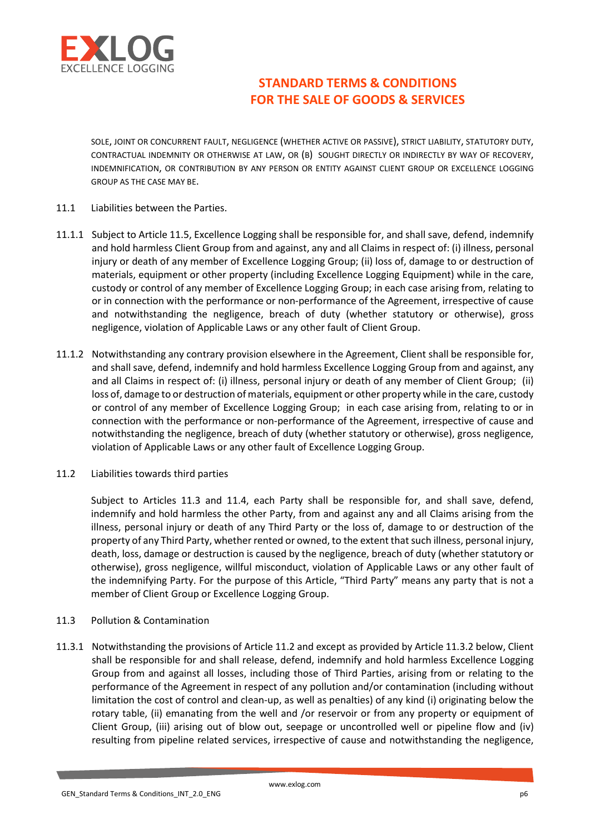

SOLE, JOINT OR CONCURRENT FAULT, NEGLIGENCE (WHETHER ACTIVE OR PASSIVE), STRICT LIABILITY, STATUTORY DUTY, CONTRACTUAL INDEMNITY OR OTHERWISE AT LAW, OR (B) SOUGHT DIRECTLY OR INDIRECTLY BY WAY OF RECOVERY, INDEMNIFICATION, OR CONTRIBUTION BY ANY PERSON OR ENTITY AGAINST CLIENT GROUP OR EXCELLENCE LOGGING GROUP AS THE CASE MAY BE.

#### 11.1 Liabilities between the Parties.

- 11.1.1 Subject to Article 11.5, Excellence Logging shall be responsible for, and shall save, defend, indemnify and hold harmless Client Group from and against, any and all Claims in respect of: (i) illness, personal injury or death of any member of Excellence Logging Group; (ii) loss of, damage to or destruction of materials, equipment or other property (including Excellence Logging Equipment) while in the care, custody or control of any member of Excellence Logging Group; in each case arising from, relating to or in connection with the performance or non-performance of the Agreement, irrespective of cause and notwithstanding the negligence, breach of duty (whether statutory or otherwise), gross negligence, violation of Applicable Laws or any other fault of Client Group.
- 11.1.2 Notwithstanding any contrary provision elsewhere in the Agreement, Client shall be responsible for, and shall save, defend, indemnify and hold harmless Excellence Logging Group from and against, any and all Claims in respect of: (i) illness, personal injury or death of any member of Client Group; (ii) loss of, damage to or destruction of materials, equipment or other property while in the care, custody or control of any member of Excellence Logging Group; in each case arising from, relating to or in connection with the performance or non-performance of the Agreement, irrespective of cause and notwithstanding the negligence, breach of duty (whether statutory or otherwise), gross negligence, violation of Applicable Laws or any other fault of Excellence Logging Group.
- 11.2 Liabilities towards third parties

Subject to Articles 11.3 and 11.4, each Party shall be responsible for, and shall save, defend, indemnify and hold harmless the other Party, from and against any and all Claims arising from the illness, personal injury or death of any Third Party or the loss of, damage to or destruction of the property of any Third Party, whether rented or owned, to the extent that such illness, personal injury, death, loss, damage or destruction is caused by the negligence, breach of duty (whether statutory or otherwise), gross negligence, willful misconduct, violation of Applicable Laws or any other fault of the indemnifying Party. For the purpose of this Article, "Third Party" means any party that is not a member of Client Group or Excellence Logging Group.

### 11.3 Pollution & Contamination

11.3.1 Notwithstanding the provisions of Article 11.2 and except as provided by Article 11.3.2 below, Client shall be responsible for and shall release, defend, indemnify and hold harmless Excellence Logging Group from and against all losses, including those of Third Parties, arising from or relating to the performance of the Agreement in respect of any pollution and/or contamination (including without limitation the cost of control and clean-up, as well as penalties) of any kind (i) originating below the rotary table, (ii) emanating from the well and /or reservoir or from any property or equipment of Client Group, (iii) arising out of blow out, seepage or uncontrolled well or pipeline flow and (iv) resulting from pipeline related services, irrespective of cause and notwithstanding the negligence,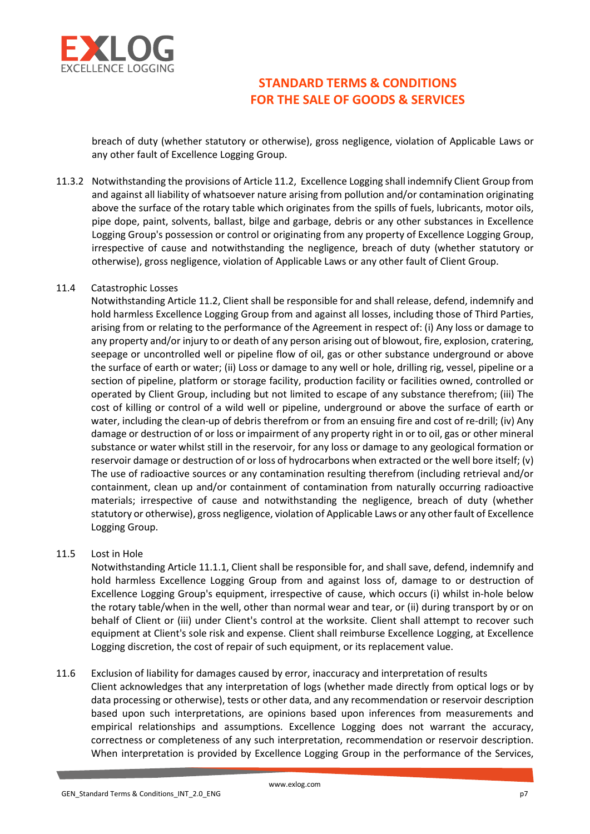

breach of duty (whether statutory or otherwise), gross negligence, violation of Applicable Laws or any other fault of Excellence Logging Group.

11.3.2 Notwithstanding the provisions of Article 11.2, Excellence Logging shall indemnify Client Group from and against all liability of whatsoever nature arising from pollution and/or contamination originating above the surface of the rotary table which originates from the spills of fuels, lubricants, motor oils, pipe dope, paint, solvents, ballast, bilge and garbage, debris or any other substances in Excellence Logging Group's possession or control or originating from any property of Excellence Logging Group, irrespective of cause and notwithstanding the negligence, breach of duty (whether statutory or otherwise), gross negligence, violation of Applicable Laws or any other fault of Client Group.

### 11.4 Catastrophic Losses

Notwithstanding Article 11.2, Client shall be responsible for and shall release, defend, indemnify and hold harmless Excellence Logging Group from and against all losses, including those of Third Parties, arising from or relating to the performance of the Agreement in respect of: (i) Any loss or damage to any property and/or injury to or death of any person arising out of blowout, fire, explosion, cratering, seepage or uncontrolled well or pipeline flow of oil, gas or other substance underground or above the surface of earth or water; (ii) Loss or damage to any well or hole, drilling rig, vessel, pipeline or a section of pipeline, platform or storage facility, production facility or facilities owned, controlled or operated by Client Group, including but not limited to escape of any substance therefrom; (iii) The cost of killing or control of a wild well or pipeline, underground or above the surface of earth or water, including the clean-up of debris therefrom or from an ensuing fire and cost of re-drill; (iv) Any damage or destruction of or loss or impairment of any property right in or to oil, gas or other mineral substance or water whilst still in the reservoir, for any loss or damage to any geological formation or reservoir damage or destruction of or loss of hydrocarbons when extracted or the well bore itself; (v) The use of radioactive sources or any contamination resulting therefrom (including retrieval and/or containment, clean up and/or containment of contamination from naturally occurring radioactive materials; irrespective of cause and notwithstanding the negligence, breach of duty (whether statutory or otherwise), gross negligence, violation of Applicable Laws or any other fault of Excellence Logging Group.

11.5 Lost in Hole

 Notwithstanding Article 11.1.1, Client shall be responsible for, and shall save, defend, indemnify and hold harmless Excellence Logging Group from and against loss of, damage to or destruction of Excellence Logging Group's equipment, irrespective of cause, which occurs (i) whilst in-hole below the rotary table/when in the well, other than normal wear and tear, or (ii) during transport by or on behalf of Client or (iii) under Client's control at the worksite. Client shall attempt to recover such equipment at Client's sole risk and expense. Client shall reimburse Excellence Logging, at Excellence Logging discretion, the cost of repair of such equipment, or its replacement value.

11.6 Exclusion of liability for damages caused by error, inaccuracy and interpretation of results Client acknowledges that any interpretation of logs (whether made directly from optical logs or by data processing or otherwise), tests or other data, and any recommendation or reservoir description based upon such interpretations, are opinions based upon inferences from measurements and empirical relationships and assumptions. Excellence Logging does not warrant the accuracy, correctness or completeness of any such interpretation, recommendation or reservoir description. When interpretation is provided by Excellence Logging Group in the performance of the Services,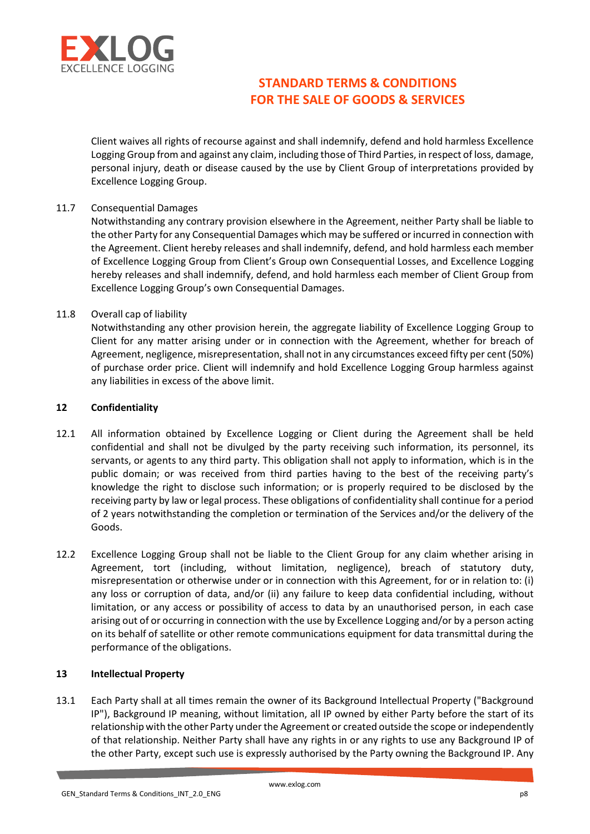

Client waives all rights of recourse against and shall indemnify, defend and hold harmless Excellence Logging Group from and against any claim, including those of Third Parties, in respect of loss, damage, personal injury, death or disease caused by the use by Client Group of interpretations provided by Excellence Logging Group.

### 11.7 Consequential Damages

Notwithstanding any contrary provision elsewhere in the Agreement, neither Party shall be liable to the other Party for any Consequential Damages which may be suffered or incurred in connection with the Agreement. Client hereby releases and shall indemnify, defend, and hold harmless each member of Excellence Logging Group from Client's Group own Consequential Losses, and Excellence Logging hereby releases and shall indemnify, defend, and hold harmless each member of Client Group from Excellence Logging Group's own Consequential Damages.

## 11.8 Overall cap of liability

Notwithstanding any other provision herein, the aggregate liability of Excellence Logging Group to Client for any matter arising under or in connection with the Agreement, whether for breach of Agreement, negligence, misrepresentation, shall not in any circumstances exceed fifty per cent (50%) of purchase order price. Client will indemnify and hold Excellence Logging Group harmless against any liabilities in excess of the above limit.

## 12 Confidentiality

- 12.1 All information obtained by Excellence Logging or Client during the Agreement shall be held confidential and shall not be divulged by the party receiving such information, its personnel, its servants, or agents to any third party. This obligation shall not apply to information, which is in the public domain; or was received from third parties having to the best of the receiving party's knowledge the right to disclose such information; or is properly required to be disclosed by the receiving party by law or legal process. These obligations of confidentiality shall continue for a period of 2 years notwithstanding the completion or termination of the Services and/or the delivery of the Goods.
- 12.2 Excellence Logging Group shall not be liable to the Client Group for any claim whether arising in Agreement, tort (including, without limitation, negligence), breach of statutory duty, misrepresentation or otherwise under or in connection with this Agreement, for or in relation to: (i) any loss or corruption of data, and/or (ii) any failure to keep data confidential including, without limitation, or any access or possibility of access to data by an unauthorised person, in each case arising out of or occurring in connection with the use by Excellence Logging and/or by a person acting on its behalf of satellite or other remote communications equipment for data transmittal during the performance of the obligations.

### 13 Intellectual Property

13.1 Each Party shall at all times remain the owner of its Background Intellectual Property ("Background IP"), Background IP meaning, without limitation, all IP owned by either Party before the start of its relationship with the other Party under the Agreement or created outside the scope or independently of that relationship. Neither Party shall have any rights in or any rights to use any Background IP of the other Party, except such use is expressly authorised by the Party owning the Background IP. Any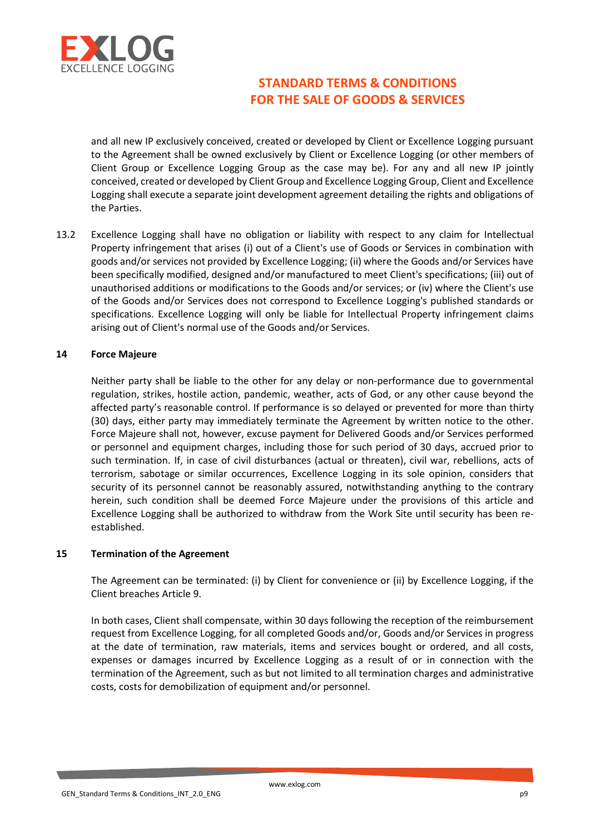

and all new IP exclusively conceived, created or developed by Client or Excellence Logging pursuant to the Agreement shall be owned exclusively by Client or Excellence Logging (or other members of Client Group or Excellence Logging Group as the case may be). For any and all new IP jointly conceived, created or developed by Client Group and Excellence Logging Group, Client and Excellence Logging shall execute a separate joint development agreement detailing the rights and obligations of the Parties.

13.2 Excellence Logging shall have no obligation or liability with respect to any claim for Intellectual Property infringement that arises (i) out of a Client's use of Goods or Services in combination with goods and/or services not provided by Excellence Logging; (ii) where the Goods and/or Services have been specifically modified, designed and/or manufactured to meet Client's specifications; (iii) out of unauthorised additions or modifications to the Goods and/or services; or (iv) where the Client's use of the Goods and/or Services does not correspond to Excellence Logging's published standards or specifications. Excellence Logging will only be liable for Intellectual Property infringement claims arising out of Client's normal use of the Goods and/or Services.

#### 14 Force Majeure

Neither party shall be liable to the other for any delay or non-performance due to governmental regulation, strikes, hostile action, pandemic, weather, acts of God, or any other cause beyond the affected party's reasonable control. If performance is so delayed or prevented for more than thirty (30) days, either party may immediately terminate the Agreement by written notice to the other. Force Majeure shall not, however, excuse payment for Delivered Goods and/or Services performed or personnel and equipment charges, including those for such period of 30 days, accrued prior to such termination. If, in case of civil disturbances (actual or threaten), civil war, rebellions, acts of terrorism, sabotage or similar occurrences, Excellence Logging in its sole opinion, considers that security of its personnel cannot be reasonably assured, notwithstanding anything to the contrary herein, such condition shall be deemed Force Majeure under the provisions of this article and Excellence Logging shall be authorized to withdraw from the Work Site until security has been reestablished.

#### 15 Termination of the Agreement

The Agreement can be terminated: (i) by Client for convenience or (ii) by Excellence Logging, if the Client breaches Article 9.

In both cases, Client shall compensate, within 30 days following the reception of the reimbursement request from Excellence Logging, for all completed Goods and/or, Goods and/or Services in progress at the date of termination, raw materials, items and services bought or ordered, and all costs, expenses or damages incurred by Excellence Logging as a result of or in connection with the termination of the Agreement, such as but not limited to all termination charges and administrative costs, costs for demobilization of equipment and/or personnel.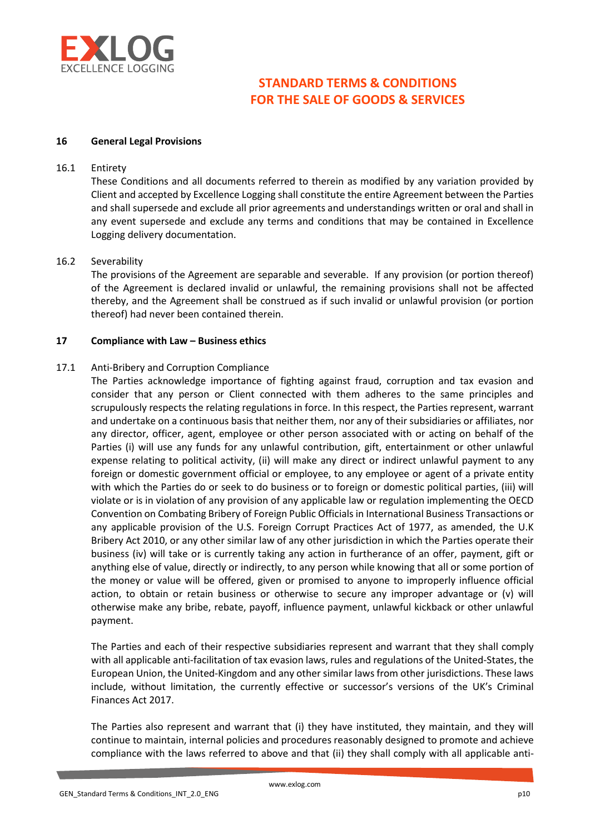

#### 16 General Legal Provisions

### 16.1 Entirety

These Conditions and all documents referred to therein as modified by any variation provided by Client and accepted by Excellence Logging shall constitute the entire Agreement between the Parties and shall supersede and exclude all prior agreements and understandings written or oral and shall in any event supersede and exclude any terms and conditions that may be contained in Excellence Logging delivery documentation.

#### 16.2 Severability

 The provisions of the Agreement are separable and severable. If any provision (or portion thereof) of the Agreement is declared invalid or unlawful, the remaining provisions shall not be affected thereby, and the Agreement shall be construed as if such invalid or unlawful provision (or portion thereof) had never been contained therein.

#### 17 Compliance with Law – Business ethics

#### 17.1 Anti-Bribery and Corruption Compliance

 The Parties acknowledge importance of fighting against fraud, corruption and tax evasion and consider that any person or Client connected with them adheres to the same principles and scrupulously respects the relating regulations in force. In this respect, the Parties represent, warrant and undertake on a continuous basis that neither them, nor any of their subsidiaries or affiliates, nor any director, officer, agent, employee or other person associated with or acting on behalf of the Parties (i) will use any funds for any unlawful contribution, gift, entertainment or other unlawful expense relating to political activity, (ii) will make any direct or indirect unlawful payment to any foreign or domestic government official or employee, to any employee or agent of a private entity with which the Parties do or seek to do business or to foreign or domestic political parties, (iii) will violate or is in violation of any provision of any applicable law or regulation implementing the OECD Convention on Combating Bribery of Foreign Public Officials in International Business Transactions or any applicable provision of the U.S. Foreign Corrupt Practices Act of 1977, as amended, the U.K Bribery Act 2010, or any other similar law of any other jurisdiction in which the Parties operate their business (iv) will take or is currently taking any action in furtherance of an offer, payment, gift or anything else of value, directly or indirectly, to any person while knowing that all or some portion of the money or value will be offered, given or promised to anyone to improperly influence official action, to obtain or retain business or otherwise to secure any improper advantage or (v) will otherwise make any bribe, rebate, payoff, influence payment, unlawful kickback or other unlawful payment.

The Parties and each of their respective subsidiaries represent and warrant that they shall comply with all applicable anti-facilitation of tax evasion laws, rules and regulations of the United-States, the European Union, the United-Kingdom and any other similar laws from other jurisdictions. These laws include, without limitation, the currently effective or successor's versions of the UK's Criminal Finances Act 2017.

The Parties also represent and warrant that (i) they have instituted, they maintain, and they will continue to maintain, internal policies and procedures reasonably designed to promote and achieve compliance with the laws referred to above and that (ii) they shall comply with all applicable anti-